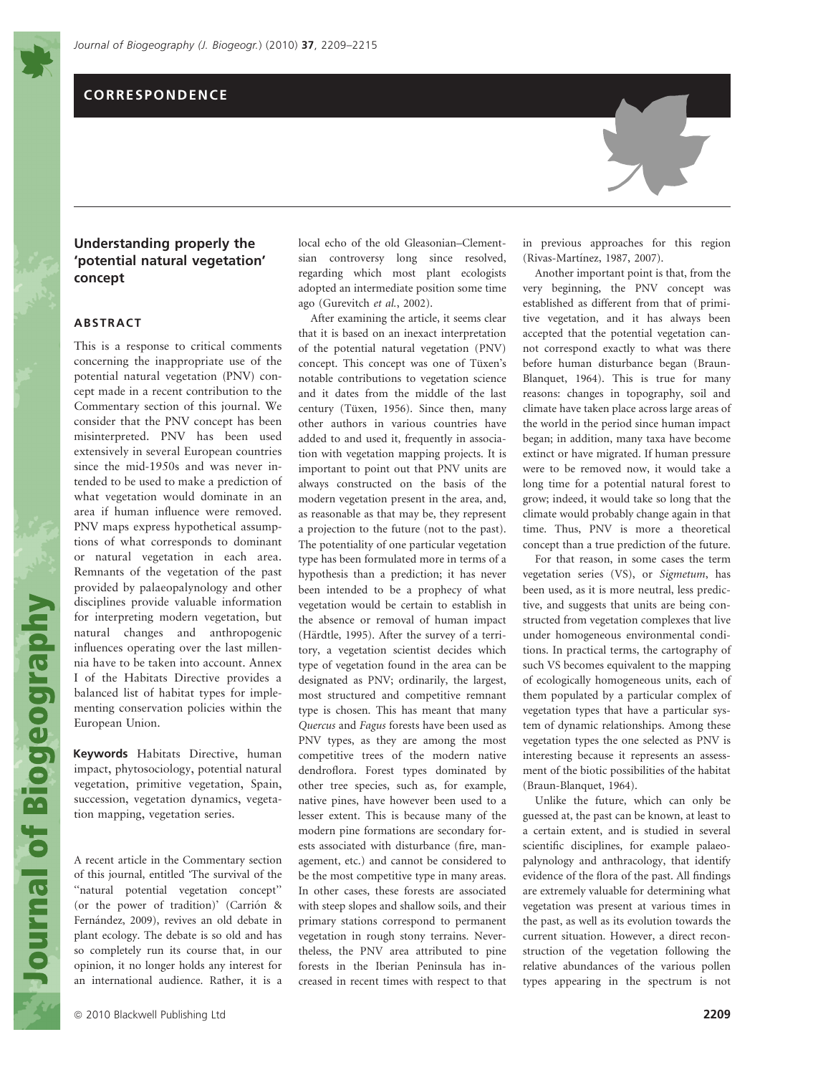### CORRESPONDENCE

## Understanding properly the 'potential natural vegetation' concept

#### ABSTRACT

This is a response to critical comments concerning the inappropriate use of the potential natural vegetation (PNV) concept made in a recent contribution to the Commentary section of this journal. We consider that the PNV concept has been misinterpreted. PNV has been used extensively in several European countries since the mid-1950s and was never intended to be used to make a prediction of what vegetation would dominate in an area if human influence were removed. PNV maps express hypothetical assumptions of what corresponds to dominant or natural vegetation in each area. Remnants of the vegetation of the past provided by palaeopalynology and other disciplines provide valuable information for interpreting modern vegetation, but natural changes and anthropogenic influences operating over the last millennia have to be taken into account. Annex I of the Habitats Directive provides a balanced list of habitat types for implementing conservation policies within the European Union.

Keywords Habitats Directive, human impact, phytosociology, potential natural vegetation, primitive vegetation, Spain, succession, vegetation dynamics, vegetation mapping, vegetation series.

Journal of Biogeography

A recent article in the Commentary section of this journal, entitled 'The survival of the ''natural potential vegetation concept'' (or the power of tradition)' (Carrión  $\&$ Fernández, 2009), revives an old debate in plant ecology. The debate is so old and has so completely run its course that, in our opinion, it no longer holds any interest for an international audience. Rather, it is a local echo of the old Gleasonian–Clementsian controversy long since resolved, regarding which most plant ecologists adopted an intermediate position some time ago (Gurevitch et al., 2002).

After examining the article, it seems clear that it is based on an inexact interpretation of the potential natural vegetation (PNV) concept. This concept was one of Tüxen's notable contributions to vegetation science and it dates from the middle of the last century (Tüxen, 1956). Since then, many other authors in various countries have added to and used it, frequently in association with vegetation mapping projects. It is important to point out that PNV units are always constructed on the basis of the modern vegetation present in the area, and, as reasonable as that may be, they represent a projection to the future (not to the past). The potentiality of one particular vegetation type has been formulated more in terms of a hypothesis than a prediction; it has never been intended to be a prophecy of what vegetation would be certain to establish in the absence or removal of human impact (Härdtle, 1995). After the survey of a territory, a vegetation scientist decides which type of vegetation found in the area can be designated as PNV; ordinarily, the largest, most structured and competitive remnant type is chosen. This has meant that many Quercus and Fagus forests have been used as PNV types, as they are among the most competitive trees of the modern native dendroflora. Forest types dominated by other tree species, such as, for example, native pines, have however been used to a lesser extent. This is because many of the modern pine formations are secondary forests associated with disturbance (fire, management, etc.) and cannot be considered to be the most competitive type in many areas. In other cases, these forests are associated with steep slopes and shallow soils, and their primary stations correspond to permanent vegetation in rough stony terrains. Nevertheless, the PNV area attributed to pine forests in the Iberian Peninsula has increased in recent times with respect to that

in previous approaches for this region (Rivas-Martínez, 1987, 2007).

Another important point is that, from the very beginning, the PNV concept was established as different from that of primitive vegetation, and it has always been accepted that the potential vegetation cannot correspond exactly to what was there before human disturbance began (Braun-Blanquet, 1964). This is true for many reasons: changes in topography, soil and climate have taken place across large areas of the world in the period since human impact began; in addition, many taxa have become extinct or have migrated. If human pressure were to be removed now, it would take a long time for a potential natural forest to grow; indeed, it would take so long that the climate would probably change again in that time. Thus, PNV is more a theoretical concept than a true prediction of the future.

For that reason, in some cases the term vegetation series (VS), or Sigmetum, has been used, as it is more neutral, less predictive, and suggests that units are being constructed from vegetation complexes that live under homogeneous environmental conditions. In practical terms, the cartography of such VS becomes equivalent to the mapping of ecologically homogeneous units, each of them populated by a particular complex of vegetation types that have a particular system of dynamic relationships. Among these vegetation types the one selected as PNV is interesting because it represents an assessment of the biotic possibilities of the habitat (Braun-Blanquet, 1964).

Unlike the future, which can only be guessed at, the past can be known, at least to a certain extent, and is studied in several scientific disciplines, for example palaeopalynology and anthracology, that identify evidence of the flora of the past. All findings are extremely valuable for determining what vegetation was present at various times in the past, as well as its evolution towards the current situation. However, a direct reconstruction of the vegetation following the relative abundances of the various pollen types appearing in the spectrum is not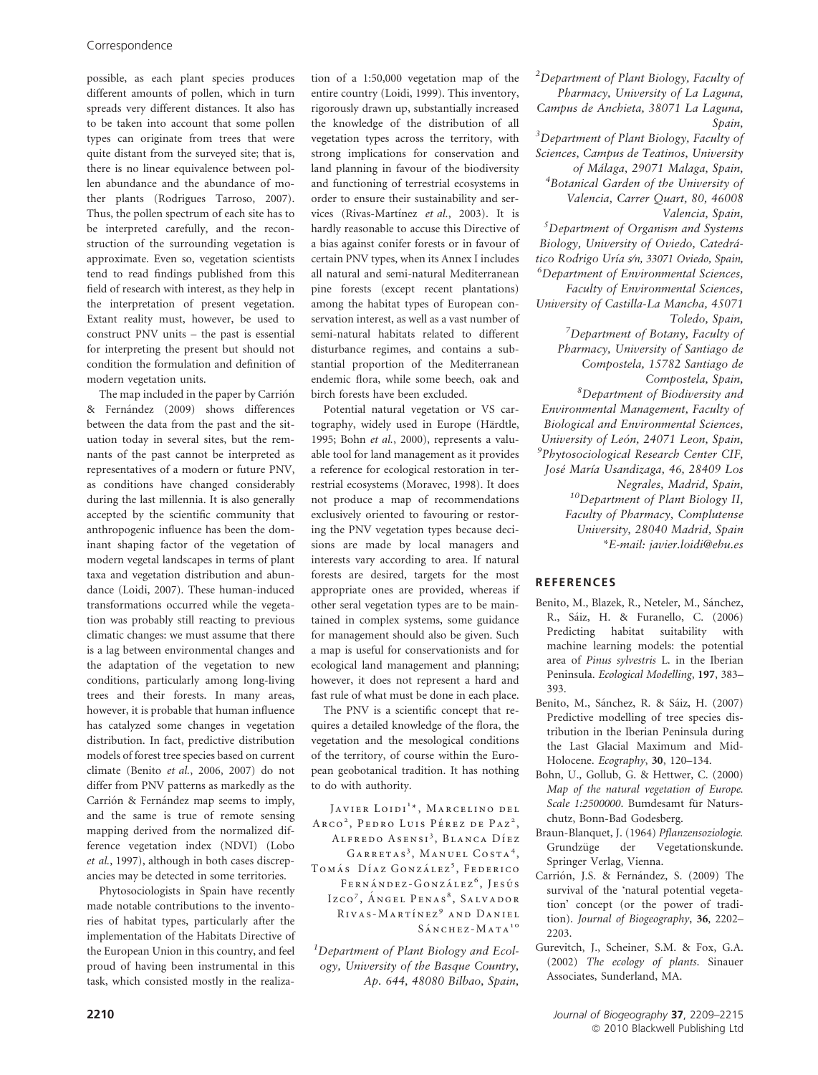possible, as each plant species produces different amounts of pollen, which in turn spreads very different distances. It also has to be taken into account that some pollen types can originate from trees that were quite distant from the surveyed site; that is, there is no linear equivalence between pollen abundance and the abundance of mother plants (Rodrigues Tarroso, 2007). Thus, the pollen spectrum of each site has to be interpreted carefully, and the reconstruction of the surrounding vegetation is approximate. Even so, vegetation scientists tend to read findings published from this field of research with interest, as they help in the interpretation of present vegetation. Extant reality must, however, be used to construct PNV units – the past is essential for interpreting the present but should not condition the formulation and definition of modern vegetation units.

The map included in the paper by Carrión & Fernández (2009) shows differences between the data from the past and the situation today in several sites, but the remnants of the past cannot be interpreted as representatives of a modern or future PNV, as conditions have changed considerably during the last millennia. It is also generally accepted by the scientific community that anthropogenic influence has been the dominant shaping factor of the vegetation of modern vegetal landscapes in terms of plant taxa and vegetation distribution and abundance (Loidi, 2007). These human-induced transformations occurred while the vegetation was probably still reacting to previous climatic changes: we must assume that there is a lag between environmental changes and the adaptation of the vegetation to new conditions, particularly among long-living trees and their forests. In many areas, however, it is probable that human influence has catalyzed some changes in vegetation distribution. In fact, predictive distribution models of forest tree species based on current climate (Benito et al., 2006, 2007) do not differ from PNV patterns as markedly as the Carrión & Fernández map seems to imply, and the same is true of remote sensing mapping derived from the normalized difference vegetation index (NDVI) (Lobo et al., 1997), although in both cases discrepancies may be detected in some territories.

Phytosociologists in Spain have recently made notable contributions to the inventories of habitat types, particularly after the implementation of the Habitats Directive of the European Union in this country, and feel proud of having been instrumental in this task, which consisted mostly in the realization of a 1:50,000 vegetation map of the entire country (Loidi, 1999). This inventory, rigorously drawn up, substantially increased the knowledge of the distribution of all vegetation types across the territory, with strong implications for conservation and land planning in favour of the biodiversity and functioning of terrestrial ecosystems in order to ensure their sustainability and services (Rivas-Martínez et al., 2003). It is hardly reasonable to accuse this Directive of a bias against conifer forests or in favour of certain PNV types, when its Annex I includes all natural and semi-natural Mediterranean pine forests (except recent plantations) among the habitat types of European conservation interest, as well as a vast number of semi-natural habitats related to different disturbance regimes, and contains a substantial proportion of the Mediterranean endemic flora, while some beech, oak and birch forests have been excluded.

Potential natural vegetation or VS cartography, widely used in Europe (Härdtle, 1995; Bohn et al., 2000), represents a valuable tool for land management as it provides a reference for ecological restoration in terrestrial ecosystems (Moravec, 1998). It does not produce a map of recommendations exclusively oriented to favouring or restoring the PNV vegetation types because decisions are made by local managers and interests vary according to area. If natural forests are desired, targets for the most appropriate ones are provided, whereas if other seral vegetation types are to be maintained in complex systems, some guidance for management should also be given. Such a map is useful for conservationists and for ecological land management and planning; however, it does not represent a hard and fast rule of what must be done in each place.

The PNV is a scientific concept that requires a detailed knowledge of the flora, the vegetation and the mesological conditions of the territory, of course within the European geobotanical tradition. It has nothing to do with authority.

IAVIER LOIDI<sup>1\*</sup>, MARCELINO DEL ARCO<sup>2</sup>, PEDRO LUIS PÉREZ DE PAZ<sup>2</sup>, ALFREDO ASENSI<sup>3</sup>, BLANCA DÍEZ GARRETAS<sup>3</sup>, MANUEL COSTA<sup>4</sup>, Tomás Díaz González<sup>5</sup>, Federico Fernández-González<sup>6</sup>, Jesús Izco<sup>7</sup>, Ángel Penas<sup>8</sup>, Salvador RIVAS-MARTÍNEZ<sup>9</sup> AND DANIEL  $SÁNCHEZ-MATA<sup>10</sup>$ 

<sup>1</sup>Department of Plant Biology and Ecology, University of the Basque Country, Ap. 644, 48080 Bilbao, Spain,

<sup>2</sup>Department of Plant Biology, Faculty of Pharmacy, University of La Laguna, Campus de Anchieta, 38071 La Laguna, Spain, <sup>3</sup>Department of Plant Biology, Faculty of Sciences, Campus de Teatinos, University of Málaga, 29071 Malaga, Spain, 4 Botanical Garden of the University of Valencia, Carrer Quart, 80, 46008 Valencia, Spain, 5 Department of Organism and Systems Biology, University of Oviedo, Catedrático Rodrigo Uría s/n, 33071 Oviedo, Spain, 6 Department of Environmental Sciences, Faculty of Environmental Sciences, University of Castilla-La Mancha, 45071 Toledo, Spain, 7 Department of Botany, Faculty of Pharmacy, University of Santiago de Compostela, 15782 Santiago de Compostela, Spain, 8 Department of Biodiversity and Environmental Management, Faculty of Biological and Environmental Sciences, University of León, 24071 Leon, Spain, <sup>9</sup>Phytosociological Research Center CIF, José María Usandizaga, 46, 28409 Los Negrales, Madrid, Spain, 10Department of Plant Biology II, Faculty of Pharmacy, Complutense University, 28040 Madrid, Spain \*E-mail: javier.loidi@ehu.es

#### REFERENCES

- Benito, M., Blazek, R., Neteler, M., Sánchez, R., Sáiz, H. & Furanello, C. (2006) Predicting habitat suitability with machine learning models: the potential area of Pinus sylvestris L. in the Iberian Peninsula. Ecological Modelling, 197, 383– 393.
- Benito, M., Sánchez, R. & Sáiz, H. (2007) Predictive modelling of tree species distribution in the Iberian Peninsula during the Last Glacial Maximum and Mid-Holocene. Ecography, 30, 120–134.
- Bohn, U., Gollub, G. & Hettwer, C. (2000) Map of the natural vegetation of Europe. Scale 1:2500000. Bumdesamt für Naturschutz, Bonn-Bad Godesberg.
- Braun-Blanquet, J. (1964) Pflanzensoziologie. Grundzüge der Vegetationskunde. Springer Verlag, Vienna.
- Carrión, J.S. & Fernández, S. (2009) The survival of the 'natural potential vegetation' concept (or the power of tradition). Journal of Biogeography, 36, 2202– 2203.
- Gurevitch, J., Scheiner, S.M. & Fox, G.A. (2002) The ecology of plants. Sinauer Associates, Sunderland, MA.